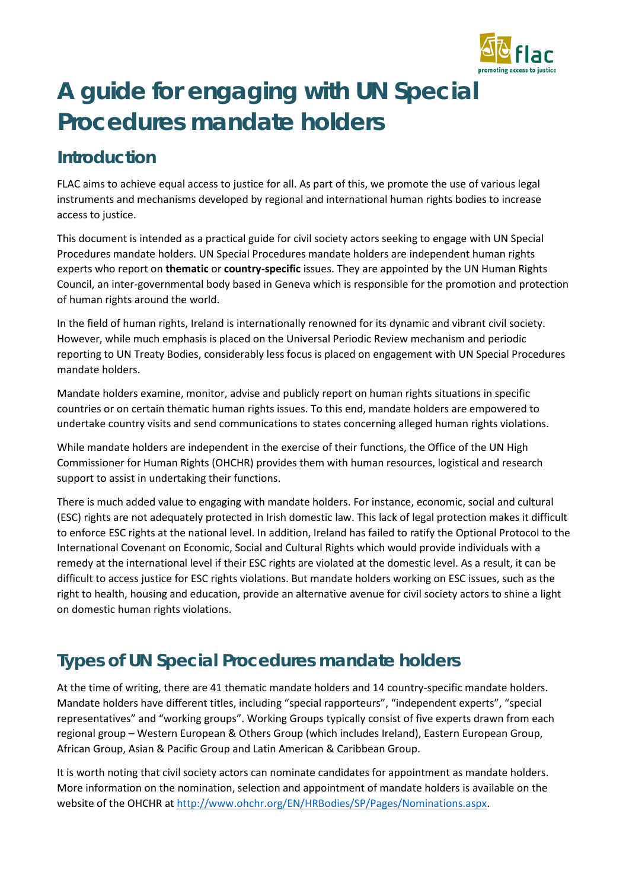

# **A guide for engaging with UN Special Procedures mandate holders**

### **Introduction**

FLAC aims to achieve equal access to justice for all. As part of this, we promote the use of various legal instruments and mechanisms developed by regional and international human rights bodies to increase access to justice.

This document is intended as a practical guide for civil society actors seeking to engage with UN Special Procedures mandate holders. UN Special Procedures mandate holders are independent human rights experts who report on **thematic** or **country-specific** issues. They are appointed by the UN Human Rights Council, an inter-governmental body based in Geneva which is responsible for the promotion and protection of human rights around the world.

In the field of human rights, Ireland is internationally renowned for its dynamic and vibrant civil society. However, while much emphasis is placed on the Universal Periodic Review mechanism and periodic reporting to UN Treaty Bodies, considerably less focus is placed on engagement with UN Special Procedures mandate holders.

Mandate holders examine, monitor, advise and publicly report on human rights situations in specific countries or on certain thematic human rights issues. To this end, mandate holders are empowered to undertake country visits and send communications to states concerning alleged human rights violations.

While mandate holders are independent in the exercise of their functions, the Office of the UN High Commissioner for Human Rights (OHCHR) provides them with human resources, logistical and research support to assist in undertaking their functions.

There is much added value to engaging with mandate holders. For instance, economic, social and cultural (ESC) rights are not adequately protected in Irish domestic law. This lack of legal protection makes it difficult to enforce ESC rights at the national level. In addition, Ireland has failed to ratify the Optional Protocol to the International Covenant on Economic, Social and Cultural Rights which would provide individuals with a remedy at the international level if their ESC rights are violated at the domestic level. As a result, it can be difficult to access justice for ESC rights violations. But mandate holders working on ESC issues, such as the right to health, housing and education, provide an alternative avenue for civil society actors to shine a light on domestic human rights violations.

### **Types of UN Special Procedures mandate holders**

At the time of writing, there are 41 thematic mandate holders and 14 country-specific mandate holders. Mandate holders have different titles, including "special rapporteurs", "independent experts", "special representatives" and "working groups". Working Groups typically consist of five experts drawn from each regional group – Western European & Others Group (which includes Ireland), Eastern European Group, African Group, Asian & Pacific Group and Latin American & Caribbean Group.

It is worth noting that civil society actors can nominate candidates for appointment as mandate holders. More information on the nomination, selection and appointment of mandate holders is available on the website of the OHCHR at [http://www.ohchr.org/EN/HRBodies/SP/Pages/Nominations.aspx.](http://www.ohchr.org/EN/HRBodies/SP/Pages/Nominations.aspx)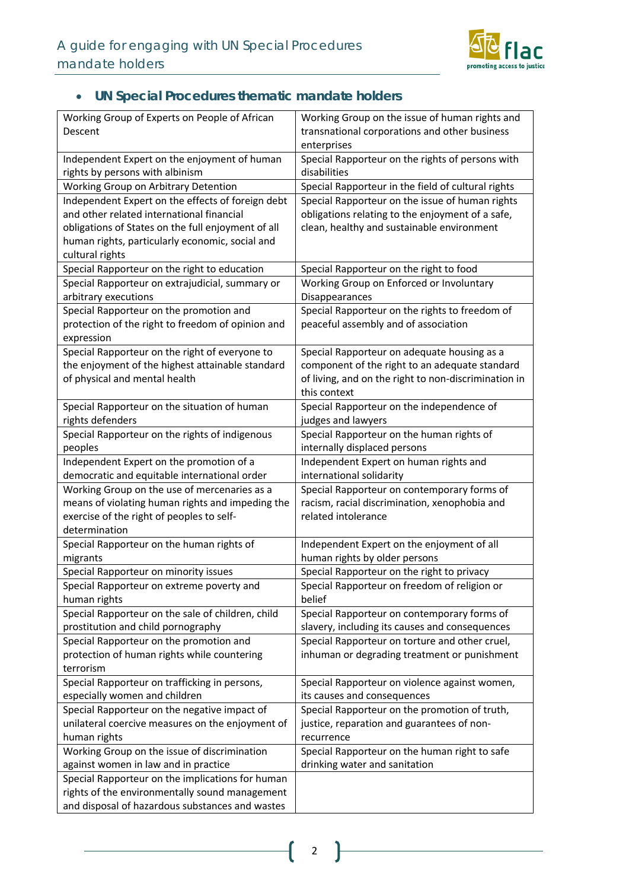

### • **UN Special Procedures thematic mandate holders**

| Working Group of Experts on People of African                                                     | Working Group on the issue of human rights and       |
|---------------------------------------------------------------------------------------------------|------------------------------------------------------|
| Descent                                                                                           | transnational corporations and other business        |
|                                                                                                   | enterprises                                          |
| Independent Expert on the enjoyment of human                                                      | Special Rapporteur on the rights of persons with     |
| rights by persons with albinism                                                                   | disabilities                                         |
| Working Group on Arbitrary Detention                                                              | Special Rapporteur in the field of cultural rights   |
| Independent Expert on the effects of foreign debt                                                 | Special Rapporteur on the issue of human rights      |
| and other related international financial                                                         | obligations relating to the enjoyment of a safe,     |
| obligations of States on the full enjoyment of all                                                | clean, healthy and sustainable environment           |
| human rights, particularly economic, social and                                                   |                                                      |
| cultural rights                                                                                   |                                                      |
| Special Rapporteur on the right to education                                                      | Special Rapporteur on the right to food              |
| Special Rapporteur on extrajudicial, summary or                                                   | Working Group on Enforced or Involuntary             |
| arbitrary executions                                                                              | Disappearances                                       |
| Special Rapporteur on the promotion and                                                           | Special Rapporteur on the rights to freedom of       |
| protection of the right to freedom of opinion and                                                 | peaceful assembly and of association                 |
| expression                                                                                        |                                                      |
| Special Rapporteur on the right of everyone to                                                    | Special Rapporteur on adequate housing as a          |
| the enjoyment of the highest attainable standard                                                  | component of the right to an adequate standard       |
| of physical and mental health                                                                     | of living, and on the right to non-discrimination in |
|                                                                                                   | this context                                         |
| Special Rapporteur on the situation of human                                                      | Special Rapporteur on the independence of            |
| rights defenders                                                                                  | judges and lawyers                                   |
| Special Rapporteur on the rights of indigenous                                                    | Special Rapporteur on the human rights of            |
| peoples                                                                                           | internally displaced persons                         |
| Independent Expert on the promotion of a                                                          | Independent Expert on human rights and               |
| democratic and equitable international order                                                      | international solidarity                             |
| Working Group on the use of mercenaries as a                                                      | Special Rapporteur on contemporary forms of          |
| means of violating human rights and impeding the                                                  | racism, racial discrimination, xenophobia and        |
| exercise of the right of peoples to self-                                                         | related intolerance                                  |
| determination                                                                                     |                                                      |
| Special Rapporteur on the human rights of                                                         | Independent Expert on the enjoyment of all           |
| migrants                                                                                          | human rights by older persons                        |
| Special Rapporteur on minority issues                                                             | Special Rapporteur on the right to privacy           |
| Special Rapporteur on extreme poverty and                                                         | Special Rapporteur on freedom of religion or         |
| human rights                                                                                      | belief                                               |
| Special Rapporteur on the sale of children, child                                                 | Special Rapporteur on contemporary forms of          |
| prostitution and child pornography                                                                | slavery, including its causes and consequences       |
| Special Rapporteur on the promotion and                                                           | Special Rapporteur on torture and other cruel,       |
| protection of human rights while countering                                                       | inhuman or degrading treatment or punishment         |
| terrorism                                                                                         |                                                      |
| Special Rapporteur on trafficking in persons,                                                     | Special Rapporteur on violence against women,        |
| especially women and children                                                                     | its causes and consequences                          |
| Special Rapporteur on the negative impact of                                                      | Special Rapporteur on the promotion of truth,        |
| unilateral coercive measures on the enjoyment of                                                  | justice, reparation and guarantees of non-           |
| human rights                                                                                      | recurrence                                           |
| Working Group on the issue of discrimination                                                      | Special Rapporteur on the human right to safe        |
| against women in law and in practice                                                              | drinking water and sanitation                        |
| Special Rapporteur on the implications for human                                                  |                                                      |
| rights of the environmentally sound management<br>and disposal of hazardous substances and wastes |                                                      |
|                                                                                                   |                                                      |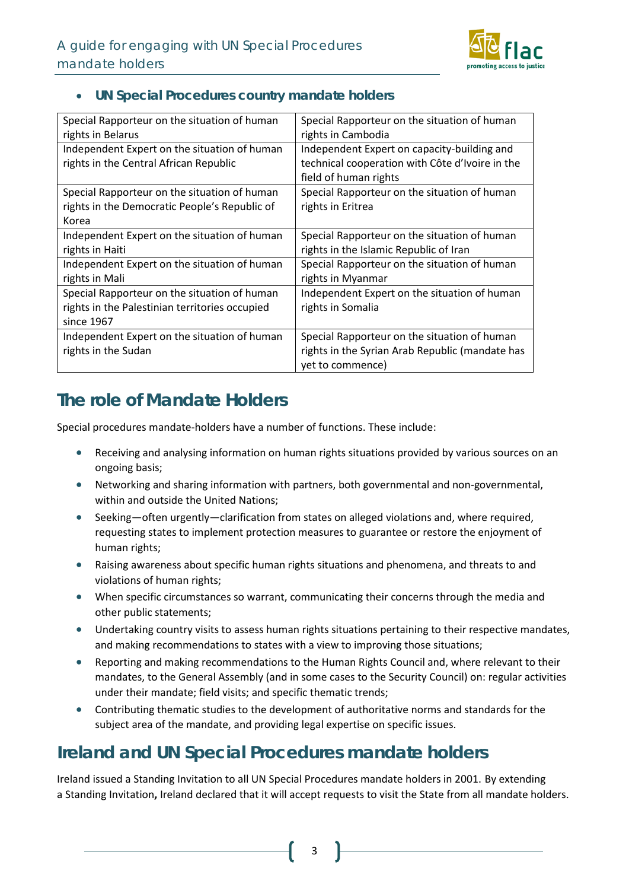

| Special Rapporteur on the situation of human   | Special Rapporteur on the situation of human    |
|------------------------------------------------|-------------------------------------------------|
| rights in Belarus                              | rights in Cambodia                              |
| Independent Expert on the situation of human   | Independent Expert on capacity-building and     |
| rights in the Central African Republic         | technical cooperation with Côte d'Ivoire in the |
|                                                | field of human rights                           |
| Special Rapporteur on the situation of human   | Special Rapporteur on the situation of human    |
| rights in the Democratic People's Republic of  | rights in Eritrea                               |
| Korea                                          |                                                 |
| Independent Expert on the situation of human   | Special Rapporteur on the situation of human    |
| rights in Haiti                                | rights in the Islamic Republic of Iran          |
| Independent Expert on the situation of human   | Special Rapporteur on the situation of human    |
| rights in Mali                                 | rights in Myanmar                               |
| Special Rapporteur on the situation of human   | Independent Expert on the situation of human    |
| rights in the Palestinian territories occupied | rights in Somalia                               |
| since 1967                                     |                                                 |
| Independent Expert on the situation of human   | Special Rapporteur on the situation of human    |
| rights in the Sudan                            | rights in the Syrian Arab Republic (mandate has |
|                                                | yet to commence)                                |

#### • **UN Special Procedures country mandate holders**

### **The role of Mandate Holders**

Special procedures mandate-holders have a number of functions. These include:

- Receiving and analysing information on human rights situations provided by various sources on an ongoing basis;
- Networking and sharing information with partners, both governmental and non-governmental, within and outside the United Nations;
- Seeking—often urgently—clarification from states on alleged violations and, where required, requesting states to implement protection measures to guarantee or restore the enjoyment of human rights;
- Raising awareness about specific human rights situations and phenomena, and threats to and violations of human rights;
- When specific circumstances so warrant, communicating their concerns through the media and other public statements;
- Undertaking country visits to assess human rights situations pertaining to their respective mandates, and making recommendations to states with a view to improving those situations;
- Reporting and making recommendations to the Human Rights Council and, where relevant to their mandates, to the General Assembly (and in some cases to the Security Council) on: regular activities under their mandate; field visits; and specific thematic trends;
- Contributing thematic studies to the development of authoritative norms and standards for the subject area of the mandate, and providing legal expertise on specific issues.

### **Ireland and UN Special Procedures mandate holders**

Ireland issued a Standing Invitation to all UN Special Procedures mandate holders in 2001. By extending a Standing Invitation**,** Ireland declared that it will accept requests to visit the State from all mandate holders.

3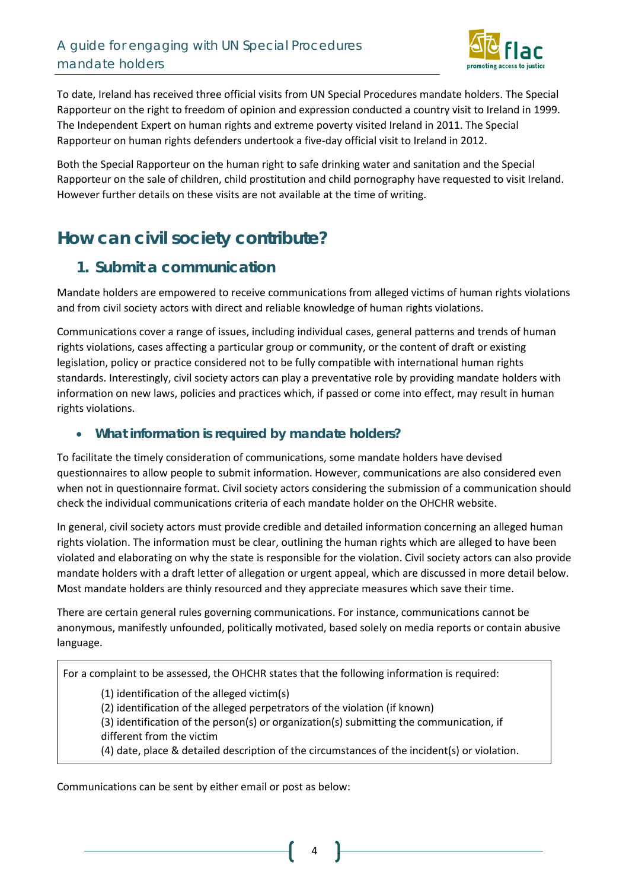

To date, Ireland has received three official visits from UN Special Procedures mandate holders. The Special Rapporteur on the right to freedom of opinion and expression conducted a country visit to Ireland in 1999. The Independent Expert on human rights and extreme poverty visited Ireland in 2011. The Special Rapporteur on human rights defenders undertook a five-day official visit to Ireland in 2012.

Both the Special Rapporteur on the human right to safe drinking water and sanitation and the Special Rapporteur on the sale of children, child prostitution and child pornography have requested to visit Ireland. However further details on these visits are not available at the time of writing.

# **How can civil society contribute?**

### **1. Submit a communication**

Mandate holders are empowered to receive communications from alleged victims of human rights violations and from civil society actors with direct and reliable knowledge of human rights violations.

Communications cover a range of issues, including individual cases, general patterns and trends of human rights violations, cases affecting a particular group or community, or the content of draft or existing legislation, policy or practice considered not to be fully compatible with international human rights standards. Interestingly, civil society actors can play a preventative role by providing mandate holders with information on new laws, policies and practices which, if passed or come into effect, may result in human rights violations.

#### • **What information is required by mandate holders?**

To facilitate the timely consideration of communications, some mandate holders have devised questionnaires to allow people to submit information. However, communications are also considered even when not in questionnaire format. Civil society actors considering the submission of a communication should check the individual communications criteria of each mandate holder on the OHCHR website.

In general, civil society actors must provide credible and detailed information concerning an alleged human rights violation. The information must be clear, outlining the human rights which are alleged to have been violated and elaborating on why the state is responsible for the violation. Civil society actors can also provide mandate holders with a draft letter of allegation or urgent appeal, which are discussed in more detail below. Most mandate holders are thinly resourced and they appreciate measures which save their time.

There are certain general rules governing communications. For instance, communications cannot be anonymous, manifestly unfounded, politically motivated, based solely on media reports or contain abusive language.

For a complaint to be assessed, the OHCHR states that the following information is required:

(1) identification of the alleged victim(s)

(2) identification of the alleged perpetrators of the violation (if known)

(3) identification of the person(s) or organization(s) submitting the communication, if different from the victim

(4) date, place & detailed description of the circumstances of the incident(s) or violation.

Communications can be sent by either email or post as below: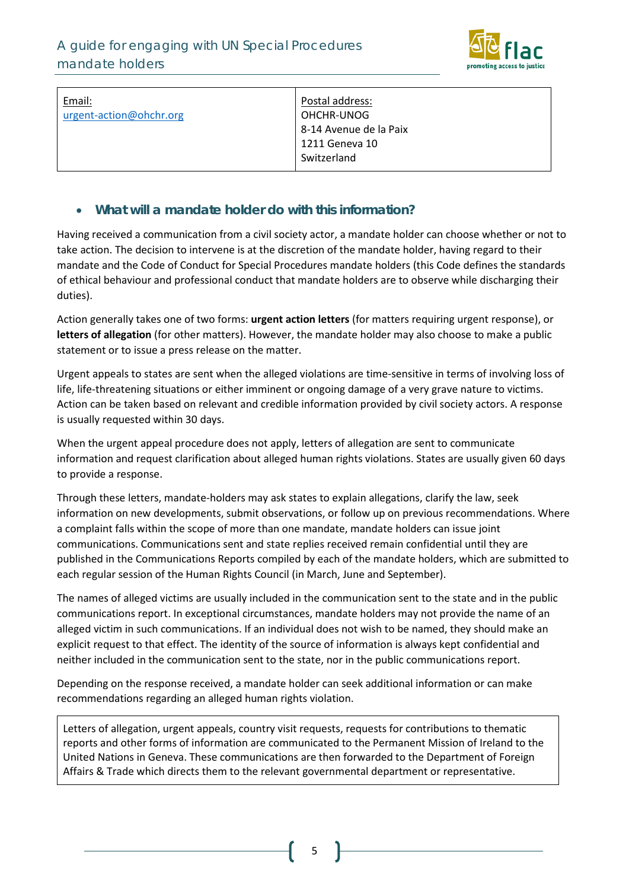

| Switzerland | Email:<br>urgent-action@ohchr.org | Postal address:<br>OHCHR-UNOG<br>8-14 Avenue de la Paix<br>1211 Geneva 10 |
|-------------|-----------------------------------|---------------------------------------------------------------------------|
|-------------|-----------------------------------|---------------------------------------------------------------------------|

#### • **What will a mandate holder do with this information?**

Having received a communication from a civil society actor, a mandate holder can choose whether or not to take action. The decision to intervene is at the discretion of the mandate holder, having regard to their mandate and the Code of Conduct for Special Procedures mandate holders (this Code defines the standards of ethical behaviour and professional conduct that mandate holders are to observe while discharging their duties).

Action generally takes one of two forms: **urgent action letters** (for matters requiring urgent response), or **letters of allegation** (for other matters). However, the mandate holder may also choose to make a public statement or to issue a press release on the matter.

Urgent appeals to states are sent when the alleged violations are time-sensitive in terms of involving loss of life, life-threatening situations or either imminent or ongoing damage of a very grave nature to victims. Action can be taken based on relevant and credible information provided by civil society actors. A response is usually requested within 30 days.

When the urgent appeal procedure does not apply, letters of allegation are sent to communicate information and request clarification about alleged human rights violations. States are usually given 60 days to provide a response.

Through these letters, mandate-holders may ask states to explain allegations, clarify the law, seek information on new developments, submit observations, or follow up on previous recommendations. Where a complaint falls within the scope of more than one mandate, mandate holders can issue joint communications. Communications sent and state replies received remain confidential until they are published in the Communications Reports compiled by each of the mandate holders, which are submitted to each regular session of the Human Rights Council (in March, June and September).

The names of alleged victims are usually included in the communication sent to the state and in the public communications report. In exceptional circumstances, mandate holders may not provide the name of an alleged victim in such communications. If an individual does not wish to be named, they should make an explicit request to that effect. The identity of the source of information is always kept confidential and neither included in the communication sent to the state, nor in the public communications report.

Depending on the response received, a mandate holder can seek additional information or can make recommendations regarding an alleged human rights violation.

Letters of allegation, urgent appeals, country visit requests, requests for contributions to thematic reports and other forms of information are communicated to the Permanent Mission of Ireland to the United Nations in Geneva. These communications are then forwarded to the Department of Foreign Affairs & Trade which directs them to the relevant governmental department or representative.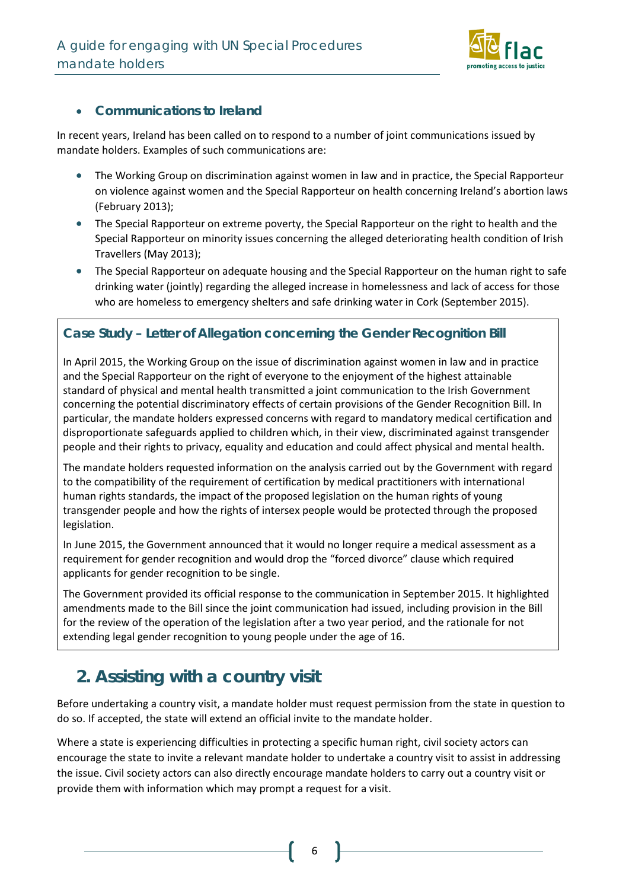

#### • **Communications to Ireland**

In recent years, Ireland has been called on to respond to a number of joint communications issued by mandate holders. Examples of such communications are:

- The Working Group on discrimination against women in law and in practice, the Special Rapporteur on violence against women and the Special Rapporteur on health concerning Ireland's abortion laws (February 2013);
- The Special Rapporteur on extreme poverty, the Special Rapporteur on the right to health and the Special Rapporteur on minority issues concerning the alleged deteriorating health condition of Irish Travellers (May 2013);
- The Special Rapporteur on adequate housing and the Special Rapporteur on the human right to safe drinking water (jointly) regarding the alleged increase in homelessness and lack of access for those who are homeless to emergency shelters and safe drinking water in Cork (September 2015).

#### **Case Study – Letter of Allegation concerning the Gender Recognition Bill**

In April 2015, the Working Group on the issue of discrimination against women in law and in practice and the Special Rapporteur on the right of everyone to the enjoyment of the highest attainable standard of physical and mental health transmitted a joint communication to the Irish Government concerning the potential discriminatory effects of certain provisions of the Gender Recognition Bill. In particular, the mandate holders expressed concerns with regard to mandatory medical certification and disproportionate safeguards applied to children which, in their view, discriminated against transgender people and their rights to privacy, equality and education and could affect physical and mental health.

The mandate holders requested information on the analysis carried out by the Government with regard to the compatibility of the requirement of certification by medical practitioners with international human rights standards, the impact of the proposed legislation on the human rights of young transgender people and how the rights of intersex people would be protected through the proposed legislation.

In June 2015, the Government announced that it would no longer require a medical assessment as a requirement for gender recognition and would drop the "forced divorce" clause which required applicants for gender recognition to be single.

The Government provided its official response to the communication in September 2015. It highlighted amendments made to the Bill since the joint communication had issued, including provision in the Bill for the review of the operation of the legislation after a two year period, and the rationale for not extending legal gender recognition to young people under the age of 16.

### **2. Assisting with a country visit**

Before undertaking a country visit, a mandate holder must request permission from the state in question to do so. If accepted, the state will extend an official invite to the mandate holder.

Where a state is experiencing difficulties in protecting a specific human right, civil society actors can encourage the state to invite a relevant mandate holder to undertake a country visit to assist in addressing the issue. Civil society actors can also directly encourage mandate holders to carry out a country visit or provide them with information which may prompt a request for a visit.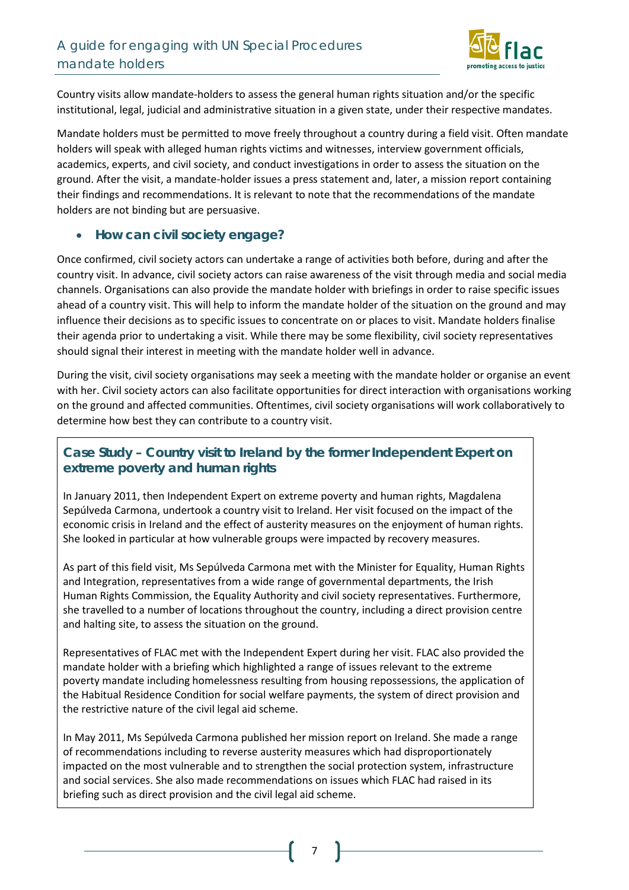

Country visits allow mandate-holders to assess the general human rights situation and/or the specific institutional, legal, judicial and administrative situation in a given state, under their respective mandates.

Mandate holders must be permitted to move freely throughout a country during a field visit. Often mandate holders will speak with alleged human rights victims and witnesses, interview government officials, academics, experts, and civil society, and conduct investigations in order to assess the situation on the ground. After the visit, a mandate-holder issues a press statement and, later, a mission report containing their findings and recommendations. It is relevant to note that the recommendations of the mandate holders are not binding but are persuasive.

#### • **How can civil society engage?**

Once confirmed, civil society actors can undertake a range of activities both before, during and after the country visit. In advance, civil society actors can raise awareness of the visit through media and social media channels. Organisations can also provide the mandate holder with briefings in order to raise specific issues ahead of a country visit. This will help to inform the mandate holder of the situation on the ground and may influence their decisions as to specific issues to concentrate on or places to visit. Mandate holders finalise their agenda prior to undertaking a visit. While there may be some flexibility, civil society representatives should signal their interest in meeting with the mandate holder well in advance.

During the visit, civil society organisations may seek a meeting with the mandate holder or organise an event with her. Civil society actors can also facilitate opportunities for direct interaction with organisations working on the ground and affected communities. Oftentimes, civil society organisations will work collaboratively to determine how best they can contribute to a country visit.

#### **Case Study – Country visit to Ireland by the former Independent Expert on extreme poverty and human rights**

In January 2011, then Independent Expert on extreme poverty and human rights, Magdalena Sepúlveda Carmona, undertook a country visit to Ireland. Her visit focused on the impact of the economic crisis in Ireland and the effect of austerity measures on the enjoyment of human rights. She looked in particular at how vulnerable groups were impacted by recovery measures.

As part of this field visit, Ms Sepúlveda Carmona met with the Minister for Equality, Human Rights and Integration, representatives from a wide range of governmental departments, the Irish Human Rights Commission, the Equality Authority and civil society representatives. Furthermore, she travelled to a number of locations throughout the country, including a direct provision centre and halting site, to assess the situation on the ground.

Representatives of FLAC met with the Independent Expert during her visit. FLAC also provided the mandate holder with a briefing which highlighted a range of issues relevant to the extreme poverty mandate including homelessness resulting from housing repossessions, the application of the Habitual Residence Condition for social welfare payments, the system of direct provision and the restrictive nature of the civil legal aid scheme.

In May 2011, Ms Sepúlveda Carmona published her mission report on Ireland. She made a range of recommendations including to reverse austerity measures which had disproportionately impacted on the most vulnerable and to strengthen the social protection system, infrastructure and social services. She also made recommendations on issues which FLAC had raised in its briefing such as direct provision and the civil legal aid scheme.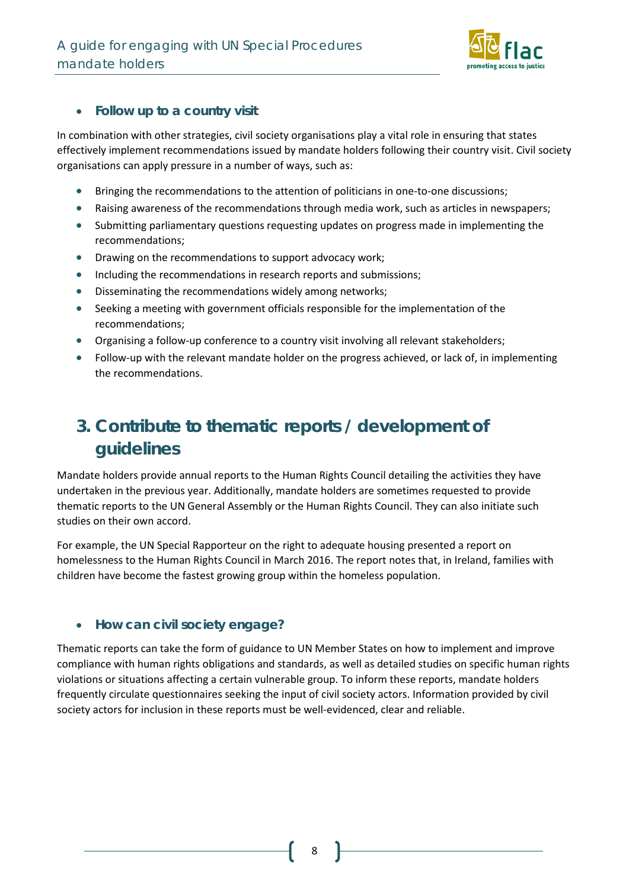

#### • **Follow up to a country visit**

In combination with other strategies, civil society organisations play a vital role in ensuring that states effectively implement recommendations issued by mandate holders following their country visit. Civil society organisations can apply pressure in a number of ways, such as:

- Bringing the recommendations to the attention of politicians in one-to-one discussions;
- Raising awareness of the recommendations through media work, such as articles in newspapers;
- Submitting parliamentary questions requesting updates on progress made in implementing the recommendations;
- Drawing on the recommendations to support advocacy work;
- Including the recommendations in research reports and submissions;
- Disseminating the recommendations widely among networks;
- Seeking a meeting with government officials responsible for the implementation of the recommendations;
- Organising a follow-up conference to a country visit involving all relevant stakeholders;
- Follow-up with the relevant mandate holder on the progress achieved, or lack of, in implementing the recommendations.

# **3. Contribute to thematic reports / development of guidelines**

Mandate holders provide annual reports to the Human Rights Council detailing the activities they have undertaken in the previous year. Additionally, mandate holders are sometimes requested to provide thematic reports to the UN General Assembly or the Human Rights Council. They can also initiate such studies on their own accord.

For example, the UN Special Rapporteur on the right to adequate housing presented a report on homelessness to the Human Rights Council in March 2016. The report notes that, in Ireland, families with children have become the fastest growing group within the homeless population.

#### • **How can civil society engage?**

Thematic reports can take the form of guidance to UN Member States on how to implement and improve compliance with human rights obligations and standards, as well as detailed studies on specific human rights violations or situations affecting a certain vulnerable group. To inform these reports, mandate holders frequently circulate questionnaires seeking the input of civil society actors. Information provided by civil society actors for inclusion in these reports must be well-evidenced, clear and reliable.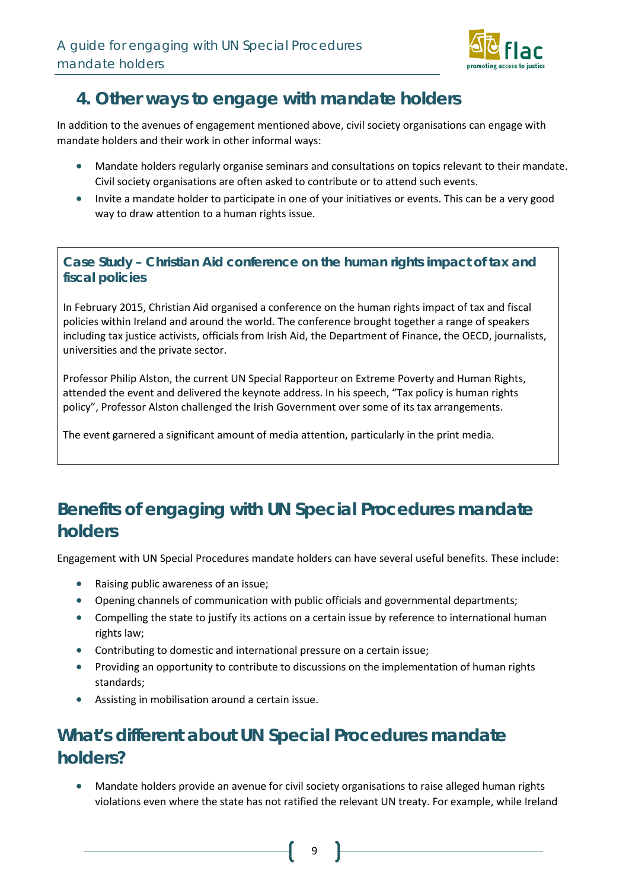

### **4. Other ways to engage with mandate holders**

In addition to the avenues of engagement mentioned above, civil society organisations can engage with mandate holders and their work in other informal ways:

- Mandate holders regularly organise seminars and consultations on topics relevant to their mandate. Civil society organisations are often asked to contribute or to attend such events.
- Invite a mandate holder to participate in one of your initiatives or events. This can be a very good way to draw attention to a human rights issue.

#### **Case Study – Christian Aid conference on the human rights impact of tax and fiscal policies**

In February 2015, Christian Aid organised a conference on the human rights impact of tax and fiscal policies within Ireland and around the world. The conference brought together a range of speakers including tax justice activists, officials from Irish Aid, the Department of Finance, the OECD, journalists, universities and the private sector.

Professor Philip Alston, the current UN Special Rapporteur on Extreme Poverty and Human Rights, attended the event and delivered the keynote address. In his speech, "Tax policy is human rights policy", Professor Alston challenged the Irish Government over some of its tax arrangements.

The event garnered a significant amount of media attention, particularly in the print media.

# **Benefits of engaging with UN Special Procedures mandate holders**

Engagement with UN Special Procedures mandate holders can have several useful benefits. These include:

- Raising public awareness of an issue;
- Opening channels of communication with public officials and governmental departments;
- Compelling the state to justify its actions on a certain issue by reference to international human rights law;
- Contributing to domestic and international pressure on a certain issue;
- Providing an opportunity to contribute to discussions on the implementation of human rights standards;
- Assisting in mobilisation around a certain issue.

### **What's different about UN Special Procedures mandate holders?**

• Mandate holders provide an avenue for civil society organisations to raise alleged human rights violations even where the state has not ratified the relevant UN treaty. For example, while Ireland

9